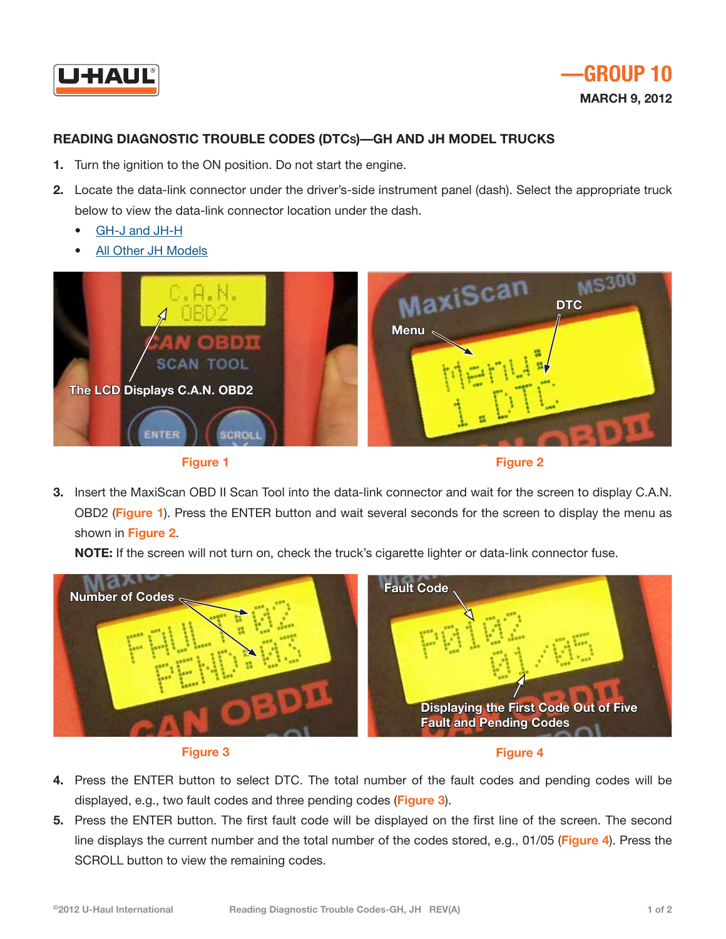



## **Reading Diagnostic Trouble Codes (DTCs)—GH and JH Model Trucks**

- **1.** Turn the ignition to the ON position. Do not start the engine.
- **2.** Locate the data-link connector under the driver's-side instrument panel (dash). Select the appropriate truck below to view the data-link connector location under the dash.
	- [GH-J and JH-H](http://repair.uhaul.com/images/DTCInstructions/ReaderConnectionImage-JH_H-GH-J.pdf)
	- [All Other JH Models](http://repair.uhaul.com/images/DTCInstructions/ReaderConnectionImage-JH_ABKM.pdf)





**Figure 2**

**3.** Insert the MaxiScan OBD II Scan Tool into the data-link connector and wait for the screen to display C.A.N. OBD2 (**Figure 1**). Press the ENTER button and wait several seconds for the screen to display the menu as shown in **Figure 2**.

**NOTE:** If the screen will not turn on, check the truck's cigarette lighter or data-link connector fuse.







- **4.** Press the ENTER button to select DTC. The total number of the fault codes and pending codes will be displayed, e.g., two fault codes and three pending codes (**Figure 3**).
- **5.** Press the ENTER button. The first fault code will be displayed on the first line of the screen. The second line displays the current number and the total number of the codes stored, e.g., 01/05 (**Figure 4**). Press the SCROLL button to view the remaining codes.